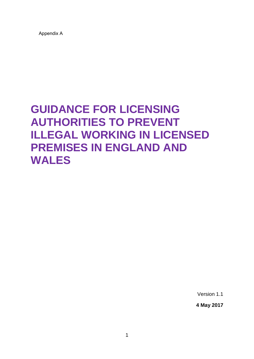Appendix A

## **GUIDANCE FOR LICENSING AUTHORITIES TO PREVENT ILLEGAL WORKING IN LICENSED PREMISES IN ENGLAND AND WALES**

Version 1.1

**4 May 2017**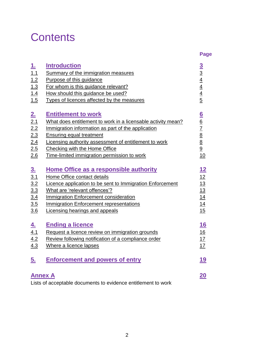# **Contents**

|                                                                 |                                                                                                                                                                                                                                                                                                                              | <b>Page</b>                                             |
|-----------------------------------------------------------------|------------------------------------------------------------------------------------------------------------------------------------------------------------------------------------------------------------------------------------------------------------------------------------------------------------------------------|---------------------------------------------------------|
| <u>1.</u><br>1.1<br>1.2<br>1.3<br>1.4<br>1.5                    | <b>Introduction</b><br>Summary of the immigration measures<br>Purpose of this guidance<br>For whom is this guidance relevant?<br>How should this guidance be used?<br>Types of licences affected by the measures                                                                                                             | $\frac{3}{3}$ $\frac{4}{4}$ $\frac{4}{4}$ $\frac{5}{5}$ |
| 2 <sub>1</sub><br>$\frac{2.1}{2.2}$<br>2.3<br>2.4<br>2.5<br>2.6 | <b>Entitlement to work</b><br>What does entitlement to work in a licensable activity mean?<br>Immigration information as part of the application<br><b>Ensuring equal treatment</b><br>Licensing authority assessment of entitlement to work<br>Checking with the Home Office<br>Time-limited immigration permission to work | 6/6/7/8/8/9<br>10                                       |
| $\underline{3}$ .<br>3.1<br>3.2<br>3.3<br>3.4<br>3.5<br>3.6     | <b>Home Office as a responsible authority</b><br>Home Office contact details<br>Licence application to be sent to Immigration Enforcement<br>What are 'relevant offences'?<br><b>Immigration Enforcement consideration</b><br><b>Immigration Enforcement representations</b><br>Licensing hearings and appeals               | $\frac{12}{12} \frac{13}{13} \frac{14}{14}$<br>15       |
| <u>4.</u><br>4.1<br>4.2<br>4.3                                  | <b>Ending a licence</b><br>Request a licence review on immigration grounds<br>Review following notification of a compliance order<br>Where a licence lapses                                                                                                                                                                  | <u> 16</u><br>16<br>17<br><u>17</u>                     |
| <u>5.</u>                                                       | <b>Enforcement and powers of entry</b>                                                                                                                                                                                                                                                                                       | <u> 19</u>                                              |
| <b>Annex A</b>                                                  |                                                                                                                                                                                                                                                                                                                              | 20                                                      |

Lists of acceptable documents to evidence entitlement to work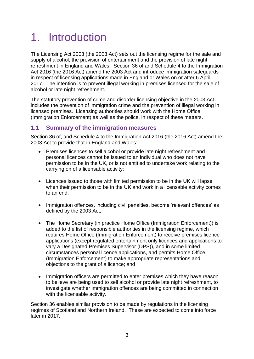# <span id="page-2-0"></span>1. Introduction

The Licensing Act 2003 (the 2003 Act) sets out the licensing regime for the sale and supply of alcohol, the provision of entertainment and the provision of late night refreshment in England and Wales. Section 36 of and Schedule 4 to the Immigration Act 2016 (the 2016 Act) amend the 2003 Act and introduce immigration safeguards in respect of licensing applications made in England or Wales on or after 6 April 2017. The intention is to prevent illegal working in premises licensed for the sale of alcohol or late night refreshment.

The statutory prevention of crime and disorder licensing objective in the 2003 Act includes the prevention of immigration crime and the prevention of illegal working in licensed premises. Licensing authorities should work with the Home Office (Immigration Enforcement) as well as the police, in respect of these matters.

## <span id="page-2-1"></span>**1.1 Summary of the immigration measures**

Section 36 of, and Schedule 4 to the Immigration Act 2016 (the 2016 Act) amend the 2003 Act to provide that in England and Wales:

- Premises licences to sell alcohol or provide late night refreshment and personal licences cannot be issued to an individual who does not have permission to be in the UK, or is not entitled to undertake work relating to the carrying on of a licensable activity;
- Licences issued to those with limited permission to be in the UK will lapse when their permission to be in the UK and work in a licensable activity comes to an end;
- Immigration offences, including civil penalties, become 'relevant offences' as defined by the 2003 Act;
- The Home Secretary (in practice Home Office (Immigration Enforcement)) is added to the list of responsible authorities in the licensing regime, which requires Home Office (Immigration Enforcement) to receive premises licence applications (except regulated entertainment only licences and applications to vary a Designated Premises Supervisor (DPS)), and in some limited circumstances personal licence applications, and permits Home Office (Immigration Enforcement) to make appropriate representations and objections to the grant of a licence; and
- Immigration officers are permitted to enter premises which they have reason to believe are being used to sell alcohol or provide late night refreshment, to investigate whether immigration offences are being committed in connection with the licensable activity.

Section 36 enables similar provision to be made by regulations in the licensing regimes of Scotland and Northern Ireland. These are expected to come into force later in 2017.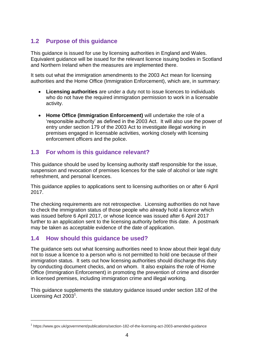## <span id="page-3-0"></span>**1.2 Purpose of this guidance**

This guidance is issued for use by licensing authorities in England and Wales. Equivalent guidance will be issued for the relevant licence issuing bodies in Scotland and Northern Ireland when the measures are implemented there.

It sets out what the immigration amendments to the 2003 Act mean for licensing authorities and the Home Office (Immigration Enforcement), which are, in summary:

- **Licensing authorities** are under a duty not to issue licences to individuals who do not have the required immigration permission to work in a licensable activity.
- **Home Office (Immigration Enforcement)** will undertake the role of a 'responsible authority' as defined in the 2003 Act. It will also use the power of entry under section 179 of the 2003 Act to investigate illegal working in premises engaged in licensable activities, working closely with licensing enforcement officers and the police.

## <span id="page-3-1"></span>**1.3 For whom is this guidance relevant?**

This guidance should be used by licensing authority staff responsible for the issue, suspension and revocation of premises licences for the sale of alcohol or late night refreshment, and personal licences.

This guidance applies to applications sent to licensing authorities on or after 6 April 2017.

The checking requirements are not retrospective. Licensing authorities do not have to check the immigration status of those people who already hold a licence which was issued before 6 April 2017, or whose licence was issued after 6 April 2017 further to an application sent to the licensing authority before this date. A postmark may be taken as acceptable evidence of the date of application.

## <span id="page-3-2"></span>**1.4 How should this guidance be used?**

1

The guidance sets out what licensing authorities need to know about their legal duty not to issue a licence to a person who is not permitted to hold one because of their immigration status. It sets out how licensing authorities should discharge this duty by conducting document checks, and on whom. It also explains the role of Home Office (Immigration Enforcement) in promoting the prevention of crime and disorder in licensed premises, including immigration crime and illegal working.

This guidance supplements the statutory guidance issued under section 182 of the Licensing Act 2003<sup>1</sup>.

<sup>&</sup>lt;sup>1</sup> https://www.gov.uk/government/publications/section-182-of-the-licensing-act-2003-amended-guidance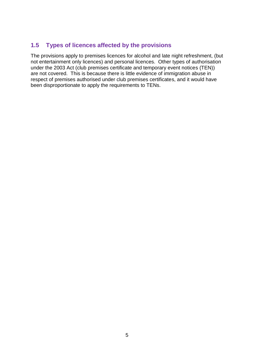## <span id="page-4-0"></span>**1.5 Types of licences affected by the provisions**

The provisions apply to premises licences for alcohol and late night refreshment, (but not entertainment only licences) and personal licences. Other types of authorisation under the 2003 Act (club premises certificate and temporary event notices (TEN)) are not covered. This is because there is little evidence of immigration abuse in respect of premises authorised under club premises certificates, and it would have been disproportionate to apply the requirements to TENs.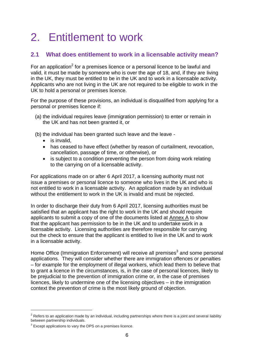# <span id="page-5-0"></span>2. Entitlement to work

## <span id="page-5-1"></span>**2.1 What does entitlement to work in a licensable activity mean?**

For an application<sup>2</sup> for a premises licence or a personal licence to be lawful and valid, it must be made by someone who is over the age of 18, and, if they are living in the UK, they must be entitled to be in the UK and to work in a licensable activity. Applicants who are not living in the UK are not required to be eligible to work in the UK to hold a personal or premises licence.

For the purpose of these provisions, an individual is disqualified from applying for a personal or premises licence if:

- (a) the individual requires leave (immigration permission) to enter or remain in the UK and has not been granted it, or
- (b) the individual has been granted such leave and the leave
	- is invalid,
	- has ceased to have effect (whether by reason of curtailment, revocation, cancellation, passage of time, or otherwise), or
	- is subject to a condition preventing the person from doing work relating to the carrying on of a licensable activity.

For applications made on or after 6 April 2017, a licensing authority must not issue a premises or personal licence to someone who lives in the UK and who is not entitled to work in a licensable activity. An application made by an individual without the entitlement to work in the UK is invalid and must be rejected.

In order to discharge their duty from 6 April 2017, licensing authorities must be satisfied that an applicant has the right to work in the UK and should require applicants to submit a copy of one of the documents listed at [Annex A](#page-19-0) to show that the applicant has permission to be in the UK and to undertake work in a licensable activity. Licensing authorities are therefore responsible for carrying out the check to ensure that the applicant is entitled to live in the UK and to work in a licensable activity.

Home Office (Immigration Enforcement) will receive all premises<sup>3</sup> and some personal applications. They will consider whether there are immigration offences or penalties – for example for the employment of illegal workers, which lead them to believe that to grant a licence in the circumstances, is, in the case of personal licences, likely to be prejudicial to the prevention of immigration crime or, in the case of premises licences, likely to undermine one of the licensing objectives – in the immigration context the prevention of crime is the most likely ground of objection.

<u>.</u>

 $2$  Refers to an application made by an individual, including partnerships where there is a joint and several liability between partnership individuals.

 $3$  Except applications to vary the DPS on a premises licence.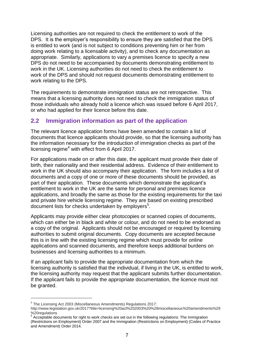Licensing authorities are not required to check the entitlement to work of the DPS. It is the employer's responsibility to ensure they are satisfied that the DPS is entitled to work (and is not subject to conditions preventing him or her from doing work relating to a licensable activity), and to check any documentation as appropriate. Similarly, applications to vary a premises licence to specify a new DPS do not need to be accompanied by documents demonstrating entitlement to work in the UK. Licensing authorities do not need to check the entitlement to work of the DPS and should not request documents demonstrating entitlement to work relating to the DPS.

The requirements to demonstrate immigration status are not retrospective. This means that a licensing authority does not need to check the immigration status of those individuals who already hold a licence which was issued before 6 April 2017, or who had applied for their licence before this date.

### <span id="page-6-0"></span>**2.2 Immigration information as part of the application**

The relevant licence application forms have been amended to contain a list of documents that licence applicants should provide, so that the licensing authority has the information necessary for the introduction of immigration checks as part of the licensing regime<sup>4</sup> with effect from 6 April 2017.

For applications made on or after this date, the applicant must provide their date of birth, their nationality and their residential address. Evidence of their entitlement to work in the UK should also accompany their application. The form includes a list of documents and a copy of one or more of these documents should be provided, as part of their application. These documents which demonstrate the applicant's entitlement to work in the UK are the same for personal and premises licence applications, and broadly the same as those for the existing requirements for the taxi and private hire vehicle licensing regime. They are based on existing prescribed document lists for checks undertaken by employers<sup>5</sup>.

Applicants may provide either clear photocopies or scanned copies of documents, which can either be in black and white or colour, and do not need to be endorsed as a copy of the original. Applicants should not be encouraged or required by licensing authorities to submit original documents. Copy documents are accepted because this is in line with the existing licensing regime which must provide for online applications and scanned documents, and therefore keeps additional burdens on businesses and licensing authorities to a minimum.

If an applicant fails to provide the appropriate documentation from which the licensing authority is satisfied that the individual, if living in the UK, is entitled to work, the licensing authority may request that the applicant submits further documentation. If the applicant fails to provide the appropriate documentation, the licence must not be granted.

<u>.</u>

<sup>&</sup>lt;sup>4</sup> The Licensing Act 2003 (Miscellaneous Amendments) Regulations 2017:

http://www.legislation.gov.uk/2017?title=licensing%20act%202003%20%28miscellaneous%20amendments%29 %20regulations

<sup>&</sup>lt;sup>5</sup> Acceptable documents for right to work checks are set out in the following regulations: The Immigration (Restrictions on Employment) Order 2007 and the Immigration (Restrictions on Employment) (Codes of Practice and Amendment) Order 2014.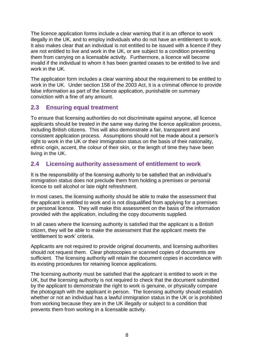The licence application forms include a clear warning that it is an offence to work illegally in the UK, and to employ individuals who do not have an entitlement to work. It also makes clear that an individual is not entitled to be issued with a licence if they are not entitled to live and work in the UK, or are subject to a condition preventing them from carrying on a licensable activity. Furthermore, a licence will become invalid if the individual to whom it has been granted ceases to be entitled to live and work in the UK.

The application form includes a clear warning about the requirement to be entitled to work in the UK. Under section 158 of the 2003 Act, it is a criminal offence to provide false information as part of the licence application, punishable on summary conviction with a fine of any amount.

## <span id="page-7-0"></span>**2.3 Ensuring equal treatment**

To ensure that licensing authorities do not discriminate against anyone, all licence applicants should be treated in the same way during the licence application process, including British citizens. This will also demonstrate a fair, transparent and consistent application process. Assumptions should not be made about a person's right to work in the UK or their immigration status on the basis of their nationality, ethnic origin, accent, the colour of their skin, or the length of time they have been living in the UK.

## <span id="page-7-1"></span>**2.4 Licensing authority assessment of entitlement to work**

It is the responsibility of the licensing authority to be satisfied that an individual's immigration status does not preclude them from holding a premises or personal licence to sell alcohol or late night refreshment.

In most cases, the licensing authority should be able to make the assessment that the applicant is entitled to work and is not disqualified from applying for a premises or personal licence. They will make this assessment on the basis of the information provided with the application, including the copy documents supplied.

In all cases where the licensing authority is satisfied that the applicant is a British citizen, they will be able to make the assessment that the applicant meets the 'entitlement to work' criteria.

Applicants are not required to provide original documents, and licensing authorities should not request them. Clear photocopies or scanned copies of documents are sufficient. The licensing authority will retain the document copies in accordance with its existing procedures for retaining licence applications.

The licensing authority must be satisfied that the applicant is entitled to work in the UK, but the licensing authority is not required to check that the document submitted by the applicant to demonstrate the right to work is genuine, or physically compare the photograph with the applicant in person. The licensing authority should establish whether or not an individual has a lawful immigration status in the UK or is prohibited from working because they are in the UK illegally or subject to a condition that prevents them from working in a licensable activity.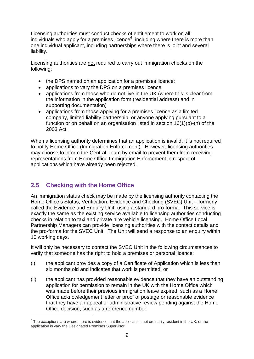Licensing authorities must conduct checks of entitlement to work on all individuals who apply for a premises licence $6$ , including where there is more than one individual applicant, including partnerships where there is joint and several liability.

Licensing authorities are not required to carry out immigration checks on the following:

- the DPS named on an application for a premises licence;
- applications to vary the DPS on a premises licence;
- applications from those who do not live in the UK (where this is clear from the information in the application form (residential address) and in supporting documentation)
- applications from those applying for a premises licence as a limited company, limited liability partnership, or anyone applying pursuant to a function or on behalf on an organisation listed in section 16(1)(b)-(h) of the 2003 Act.

When a licensing authority determines that an application is invalid, it is not required to notify Home Office (Immigration Enforcement). However, licensing authorities may choose to inform the Central Team by email to prevent them from receiving representations from Home Office Immigration Enforcement in respect of applications which have already been rejected.

## <span id="page-8-0"></span>**2.5 Checking with the Home Office**

1

An immigration status check may be made by the licensing authority contacting the Home Office's Status, Verification, Evidence and Checking (SVEC) Unit – formerly called the Evidence and Enquiry Unit, using a standard pro-forma. This service is exactly the same as the existing service available to licensing authorities conducting checks in relation to taxi and private hire vehicle licensing. Home Office Local Partnership Managers can provide licensing authorities with the contact details and the pro-forma for the SVEC Unit. The Unit will send a response to an enquiry within 10 working days.

It will only be necessary to contact the SVEC Unit in the following circumstances to verify that someone has the right to hold a premises or personal licence:

- (i) the applicant provides a copy of a Certificate of Application which is less than six months old and indicates that work is permitted; or
- (ii) the applicant has provided reasonable evidence that they have an outstanding application for permission to remain in the UK with the Home Office which was made before their previous immigration leave expired, such as a Home Office acknowledgement letter or proof of postage or reasonable evidence that they have an appeal or administrative review pending against the Home Office decision, such as a reference number.

 $6$  The exceptions are where there is evidence that the applicant is not ordinarily resident in the UK, or the application is vary the Designated Premises Supervisor.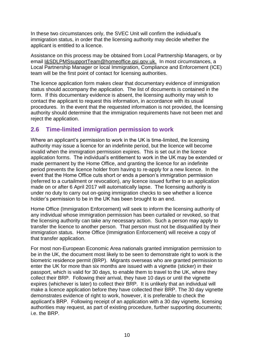In these two circumstances only, the SVEC Unit will confirm the individual's immigration status, in order that the licensing authority may decide whether the applicant is entitled to a licence.

Assistance on this process may be obtained from Local Partnership Managers, or by email [I&SDLPMSsupportTeam@homeoffice.gsi.gov.uk. In](mailto:I&SDLPMSsupportTeam@homeoffice.gsi.gov.uk.%20%20In) most circumstances, a Local Partnership Manager or local Immigration, Compliance and Enforcement (ICE) team will be the first point of contact for licensing authorities.

The licence application form makes clear that documentary evidence of immigration status should accompany the application. The list of documents is contained in the form. If this documentary evidence is absent, the licensing authority may wish to contact the applicant to request this information, in accordance with its usual procedures. In the event that the requested information is not provided, the licensing authority should determine that the immigration requirements have not been met and reject the application.

### <span id="page-9-0"></span>**2.6 Time-limited immigration permission to work**

Where an applicant's permission to work in the UK is time-limited, the licensing authority may issue a licence for an indefinite period, but the licence will become invalid when the immigration permission expires. This is set out in the licence application forms. The individual's entitlement to work in the UK may be extended or made permanent by the Home Office, and granting the licence for an indefinite period prevents the licence holder from having to re-apply for a new licence. In the event that the Home Office cuts short or ends a person's immigration permission (referred to a curtailment or revocation), any licence issued further to an application made on or after 6 April 2017 will automatically lapse. The licensing authority is under no duty to carry out on-going immigration checks to see whether a licence holder's permission to be in the UK has been brought to an end.

Home Office (Immigration Enforcement) will seek to inform the licensing authority of any individual whose immigration permission has been curtailed or revoked, so that the licensing authority can take any necessary action. Such a person may apply to transfer the licence to another person. That person must not be disqualified by their immigration status. Home Office (Immigration Enforcement) will receive a copy of that transfer application.

For most non-European Economic Area nationals granted immigration permission to be in the UK, the document most likely to be seen to demonstrate right to work is the biometric residence permit (BRP). Migrants overseas who are granted permission to enter the UK for more than six months are issued with a vignette (sticker) in their passport, which is valid for 30 days, to enable them to travel to the UK, where they collect their BRP. Following their arrival, they have 10 days or until the vignette expires (whichever is later) to collect their BRP. It is unlikely that an individual will make a licence application before they have collected their BRP. The 30 day vignette demonstrates evidence of right to work, however, it is preferable to check the applicant's BRP. Following receipt of an application with a 30 day vignette, licensing authorities may request, as part of existing procedure, further supporting documents; i.e. the BRP.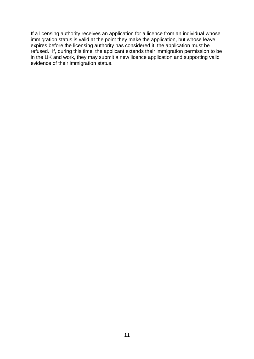If a licensing authority receives an application for a licence from an individual whose immigration status is valid at the point they make the application, but whose leave expires before the licensing authority has considered it, the application must be refused. If, during this time, the applicant extends their immigration permission to be in the UK and work, they may submit a new licence application and supporting valid evidence of their immigration status.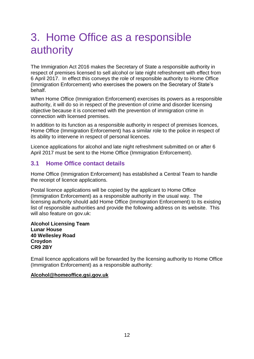# <span id="page-11-0"></span>3. Home Office as a responsible authority

The Immigration Act 2016 makes the Secretary of State a responsible authority in respect of premises licensed to sell alcohol or late night refreshment with effect from 6 April 2017. In effect this conveys the role of responsible authority to Home Office (Immigration Enforcement) who exercises the powers on the Secretary of State's behalf.

When Home Office (Immigration Enforcement) exercises its powers as a responsible authority, it will do so in respect of the prevention of crime and disorder licensing objective because it is concerned with the prevention of immigration crime in connection with licensed premises.

In addition to its function as a responsible authority in respect of premises licences, Home Office (Immigration Enforcement) has a similar role to the police in respect of its ability to intervene in respect of personal licences.

Licence applications for alcohol and late night refreshment submitted on or after 6 April 2017 must be sent to the Home Office (Immigration Enforcement).

### <span id="page-11-1"></span>**3.1 Home Office contact details**

Home Office (Immigration Enforcement) has established a Central Team to handle the receipt of licence applications.

Postal licence applications will be copied by the applicant to Home Office (Immigration Enforcement) as a responsible authority in the usual way. The licensing authority should add Home Office (Immigration Enforcement) to its existing list of responsible authorities and provide the following address on its website. This will also feature on gov.uk:

**Alcohol Licensing Team Lunar House 40 Wellesley Road Croydon CR9 2BY**

Email licence applications will be forwarded by the licensing authority to Home Office (Immigration Enforcement) as a responsible authority:

#### **[Alcohol@homeoffice.gsi.gov.uk](mailto:Alcohol@homeoffice.gsi.gov.uk)**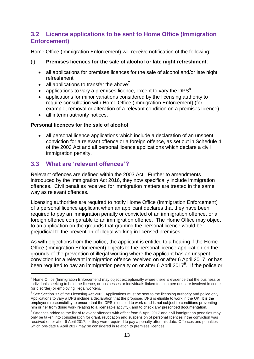## <span id="page-12-0"></span>**3.2 Licence applications to be sent to Home Office (Immigration Enforcement)**

Home Office (Immigration Enforcement) will receive notification of the following:

#### (i) **Premises licences for the sale of alcohol or late night refreshment**:

- all applications for premises licences for the sale of alcohol and/or late night refreshment
- all applications to transfer the above<sup>7</sup>
- applications to vary a premises licence, except to vary the DPS<sup>8</sup>
- applications for minor variations considered by the licensing authority to require consultation with Home Office (Immigration Enforcement) (for example, removal or alteration of a relevant condition on a premises licence)
- all interim authority notices.

#### **Personal licences for the sale of alcohol**

• all personal licence applications which include a declaration of an unspent conviction for a relevant offence or a foreign offence, as set out in Schedule 4 of the 2003 Act and all personal licence applications which declare a civil immigration penalty.

### <span id="page-12-1"></span>**3.3 What are 'relevant offences'?**

<u>.</u>

Relevant offences are defined within the 2003 Act. Further to amendments introduced by the Immigration Act 2016, they now specifically include immigration offences. Civil penalties received for immigration matters are treated in the same way as relevant offences.

Licensing authorities are required to notify Home Office (Immigration Enforcement) of a personal licence applicant when an applicant declares that they have been required to pay an immigration penalty or convicted of an immigration offence, or a foreign offence comparable to an immigration offence. The Home Office may object to an application on the grounds that granting the personal licence would be prejudicial to the prevention of illegal working in licensed premises.

As with objections from the police, the applicant is entitled to a hearing if the Home Office (Immigration Enforcement) objects to the personal licence application on the grounds of the prevention of illegal working where the applicant has an unspent conviction for a relevant immigration offence received on or after 6 April 2017, or has been required to pay an immigration penalty on or after 6 April 2017<sup>9</sup>. If the police or

 $^7$  Home Office (Immigration Enforcement) may object exceptionally where there is evidence that the business or individuals seeking to hold the licence, or businesses or individuals linked to such persons, are involved in crime (or disorder) or employing illegal workers.

 $8$  See Section 37 of the Licensing Act 2003. Applications must be sent to the licensing authority and police only. Applications to vary a DPS include a declaration that the proposed DPS is eligible to work in the UK. It is the employer's responsibility to ensure that the DPS is entitled to work (and is not subject to conditions preventing him or her from doing work relating to a licensable activity), and to check any prescribed documentation.

 $9$  Offences added to the list of relevant offences with effect from 6 April 2017 and civil immigration penalties may only be taken into consideration for grant, revocation and suspension of personal licences if the conviction was received on or after 6 April 2017, or they were required to pay a penalty after this date. Offences and penalties which pre-date 6 April 2017 may be considered in relation to premises licences.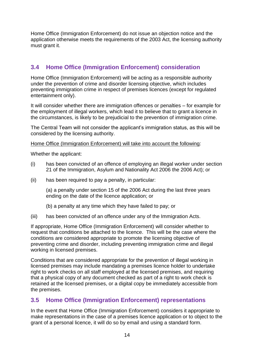Home Office (Immigration Enforcement) do not issue an objection notice and the application otherwise meets the requirements of the 2003 Act, the licensing authority must grant it.

## <span id="page-13-0"></span>**3.4 Home Office (Immigration Enforcement) consideration**

Home Office (Immigration Enforcement) will be acting as a responsible authority under the prevention of crime and disorder licensing objective, which includes preventing immigration crime in respect of premises licences (except for regulated entertainment only).

It will consider whether there are immigration offences or penalties – for example for the employment of illegal workers, which lead it to believe that to grant a licence in the circumstances, is likely to be prejudicial to the prevention of immigration crime.

The Central Team will not consider the applicant's immigration status, as this will be considered by the licensing authority.

#### Home Office (Immigration Enforcement) will take into account the following:

Whether the applicant:

- (i) has been convicted of an offence of employing an illegal worker under section 21 of the Immigration, Asylum and Nationality Act 2006 the 2006 Act); or
- (ii) has been required to pay a penalty, in particular:

(a) a penalty under section 15 of the 2006 Act during the last three years ending on the date of the licence application; or

- (b) a penalty at any time which they have failed to pay; or
- (iii) has been convicted of an offence under any of the Immigration Acts.

If appropriate, Home Office (Immigration Enforcement) will consider whether to request that conditions be attached to the licence. This will be the case where the conditions are considered appropriate to promote the licensing objective of preventing crime and disorder, including preventing immigration crime and illegal working in licensed premises.

Conditions that are considered appropriate for the prevention of illegal working in licensed premises may include mandating a premises licence holder to undertake right to work checks on all staff employed at the licensed premises, and requiring that a physical copy of any document checked as part of a right to work check is retained at the licensed premises, or a digital copy be immediately accessible from the premises.

## <span id="page-13-1"></span>**3.5 Home Office (Immigration Enforcement) representations**

In the event that Home Office (Immigration Enforcement) considers it appropriate to make representations in the case of a premises licence application or to object to the grant of a personal licence, it will do so by email and using a standard form.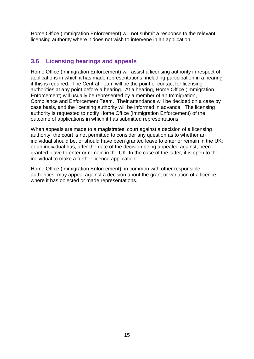Home Office (Immigration Enforcement) will not submit a response to the relevant licensing authority where it does not wish to intervene in an application.

## <span id="page-14-0"></span>**3.6 Licensing hearings and appeals**

Home Office (Immigration Enforcement) will assist a licensing authority in respect of applications in which it has made representations, including participation in a hearing if this is required. The Central Team will be the point of contact for licensing authorities at any point before a hearing. At a hearing, Home Office (Immigration Enforcement) will usually be represented by a member of an Immigration, Compliance and Enforcement Team. Their attendance will be decided on a case by case basis, and the licensing authority will be informed in advance. The licensing authority is requested to notify Home Office (Immigration Enforcement) of the outcome of applications in which it has submitted representations.

When appeals are made to a magistrates' court against a decision of a licensing authority, the court is not permitted to consider any question as to whether an individual should be, or should have been granted leave to enter or remain in the UK; or an individual has, after the date of the decision being appealed against, been granted leave to enter or remain in the UK. In the case of the latter, it is open to the individual to make a further licence application.

Home Office (Immigration Enforcement), in common with other responsible authorities, may appeal against a decision about the grant or variation of a licence where it has objected or made representations.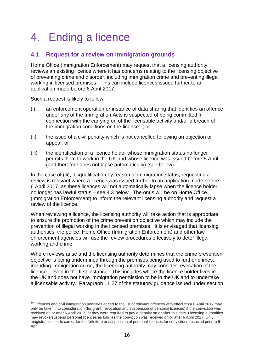# <span id="page-15-0"></span>4. Ending a licence

## <span id="page-15-1"></span>**4.1 Request for a review on immigration grounds**

Home Office (Immigration Enforcement) may request that a licensing authority reviews an existing licence where it has concerns relating to the licensing objective of preventing crime and disorder, including immigration crime and preventing illegal working in licensed premises. This can include licences issued further to an application made before 6 April 2017.

Such a request is likely to follow:

<u>.</u>

- (i) an enforcement operation or instance of data sharing that identifies an offence under any of the Immigration Acts is suspected of being committed in connection with the carrying on of the licensable activity and/or a breach of the immigration conditions on the licence<sup>10</sup>; or
- (ii) the issue of a civil penalty which is not cancelled following an objection or appeal; or
- (iii) the identification of a licence holder whose immigration status no longer permits them to work in the UK and whose licence was issued before 6 April (and therefore does not lapse automatically) (see below).

In the case of (iii), disqualification by reason of immigration status, requesting a review is relevant where a licence was issued further to an application made before 6 April 2017, as these licences will not automatically lapse when the licence holder no longer has lawful status – see [4.3](#page-16-1) below. The onus will be on Home Office (Immigration Enforcement) to inform the relevant licensing authority and request a review of the licence.

When reviewing a licence, the licensing authority will take action that is appropriate to ensure the promotion of the crime prevention objective which may include the prevention of illegal working in the licensed premises. It is envisaged that licensing authorities, the police, Home Office (Immigration Enforcement) and other law enforcement agencies will use the review procedures effectively to deter illegal working and crime.

Where reviews arise and the licensing authority determines that the crime prevention objective is being undermined through the premises being used to further crimes, including immigration crime, the licensing authority may consider revocation of the licence – even in the first instance. This includes where the licence holder lives in the UK and does not have immigration permission to be in the UK and to undertake a licensable activity. Paragraph 11.27 of the statutory guidance issued under section

 $10$  Offences and civil immigration penalties added to the list of relevant offences with effect from 6 April 2017 may only be taken into consideration (for grant, revocation and suspension of personal licences) if the conviction was received on or after 6 April 2017, or they were required to pay a penalty on or after this date. Licensing authorities may revoke/suspend personal licences as long as the conviction was received on or after 6 April 2017. Only magistrates' courts can order the forfeiture or suspension of personal licences for convictions received prior to 6 April.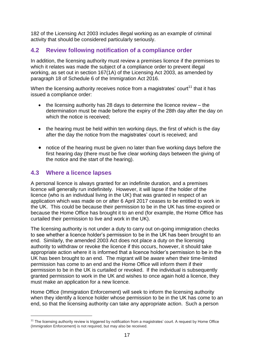182 of the Licensing Act 2003 includes illegal working as an example of criminal activity that should be considered particularly seriously.

## <span id="page-16-0"></span>**4.2 Review following notification of a compliance order**

In addition, the licensing authority must review a premises licence if the premises to which it relates was made the subject of a compliance order to prevent illegal working, as set out in section 167(1A) of the Licensing Act 2003, as amended by paragraph 18 of Schedule 6 of the Immigration Act 2016.

When the licensing authority receives notice from a magistrates' court $11$  that it has issued a compliance order:

- $\bullet$  the licensing authority has 28 days to determine the licence review the determination must be made before the expiry of the 28th day after the day on which the notice is received;
- the hearing must be held within ten working days, the first of which is the day after the day the notice from the magistrates' court is received; and
- notice of the hearing must be given no later than five working days before the first hearing day (there must be five clear working days between the giving of the notice and the start of the hearing).

## <span id="page-16-1"></span>**4.3 Where a licence lapses**

1

A personal licence is always granted for an indefinite duration, and a premises licence will generally run indefinitely. However, it will lapse if the holder of the licence (who is an individual living in the UK) that was granted in respect of an application which was made on or after 6 April 2017 ceases to be entitled to work in the UK. This could be because their permission to be in the UK has time-expired or because the Home Office has brought it to an end (for example, the Home Office has curtailed their permission to live and work in the UK).

The licensing authority is not under a duty to carry out on-going immigration checks to see whether a licence holder's permission to be in the UK has been brought to an end. Similarly, the amended 2003 Act does not place a duty on the licensing authority to withdraw or revoke the licence if this occurs, however, it should take appropriate action where it is informed that a licence holder's permission to be in the UK has been brought to an end. The migrant will be aware when their time-limited permission has come to an end and the Home Office will inform them if their permission to be in the UK is curtailed or revoked. If the individual is subsequently granted permission to work in the UK and wishes to once again hold a licence, they must make an application for a new licence.

Home Office (Immigration Enforcement) will seek to inform the licensing authority when they identify a licence holder whose permission to be in the UK has come to an end, so that the licensing authority can take any appropriate action. Such a person

<sup>&</sup>lt;sup>11</sup> The licensing authority review is triggered by notification from a magistrates' court. A request by Home Office (Immigration Enforcement) is not required, but may also be received.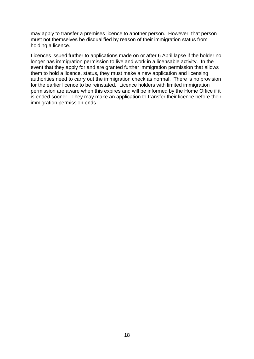may apply to transfer a premises licence to another person. However, that person must not themselves be disqualified by reason of their immigration status from holding a licence.

Licences issued further to applications made on or after 6 April lapse if the holder no longer has immigration permission to live and work in a licensable activity. In the event that they apply for and are granted further immigration permission that allows them to hold a licence, status, they must make a new application and licensing authorities need to carry out the immigration check as normal. There is no provision for the earlier licence to be reinstated. Licence holders with limited immigration permission are aware when this expires and will be informed by the Home Office if it is ended sooner. They may make an application to transfer their licence before their immigration permission ends.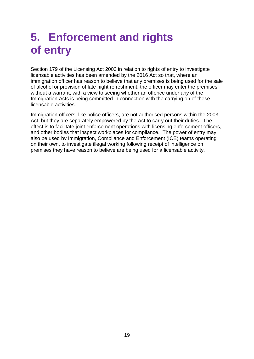# <span id="page-18-0"></span>**5. Enforcement and rights of entry**

Section 179 of the Licensing Act 2003 in relation to rights of entry to investigate licensable activities has been amended by the 2016 Act so that, where an immigration officer has reason to believe that any premises is being used for the sale of alcohol or provision of late night refreshment, the officer may enter the premises without a warrant, with a view to seeing whether an offence under any of the Immigration Acts is being committed in connection with the carrying on of these licensable activities.

Immigration officers, like police officers, are not authorised persons within the 2003 Act, but they are separately empowered by the Act to carry out their duties. The effect is to facilitate joint enforcement operations with licensing enforcement officers, and other bodies that inspect workplaces for compliance. The power of entry may also be used by Immigration, Compliance and Enforcement (ICE) teams operating on their own, to investigate illegal working following receipt of intelligence on premises they have reason to believe are being used for a licensable activity.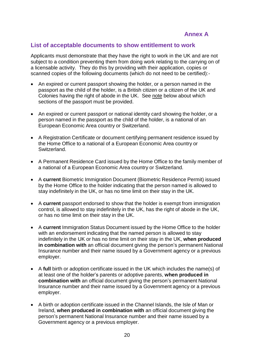### <span id="page-19-0"></span>**List of acceptable documents to show entitlement to work**

Applicants must demonstrate that they have the right to work in the UK and are not subject to a condition preventing them from doing work relating to the carrying on of a licensable activity. They do this by providing with their application, copies or scanned copies of the following documents (which do not need to be certified):-

- An expired or current passport showing the holder, or a person named in the passport as the child of the holder, is a British citizen or a citizen of the UK and Colonies having the right of abode in the UK. See [note](#page-21-0) below about which sections of the passport must be provided.
- An expired or current passport or national identity card showing the holder, or a person named in the passport as the child of the holder, is a national of an European Economic Area country or Switzerland.
- A Registration Certificate or document certifying permanent residence issued by the Home Office to a national of a European Economic Area country or Switzerland.
- A Permanent Residence Card issued by the Home Office to the family member of a national of a European Economic Area country or Switzerland.
- A **current** Biometric Immigration Document (Biometric Residence Permit) issued by the Home Office to the holder indicating that the person named is allowed to stay indefinitely in the UK, or has no time limit on their stay in the UK.
- A **current** passport endorsed to show that the holder is exempt from immigration control, is allowed to stay indefinitely in the UK, has the right of abode in the UK, or has no time limit on their stay in the UK.
- A **current** Immigration Status Document issued by the Home Office to the holder with an endorsement indicating that the named person is allowed to stay indefinitely in the UK or has no time limit on their stay in the UK, **when produced in combination with** an official document giving the person's permanent National Insurance number and their name issued by a Government agency or a previous employer.
- A **full** birth or adoption certificate issued in the UK which includes the name(s) of at least one of the holder's parents or adoptive parents, **when produced in combination with** an official document giving the person's permanent National Insurance number and their name issued by a Government agency or a previous employer.
- A birth or adoption certificate issued in the Channel Islands, the Isle of Man or Ireland, **when produced in combination with** an official document giving the person's permanent National Insurance number and their name issued by a Government agency or a previous employer.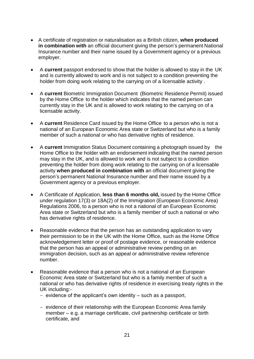- A certificate of registration or naturalisation as a British citizen, **when produced in combination with** an official document giving the person's permanent National Insurance number and their name issued by a Government agency or a previous employer.
- A **current** passport endorsed to show that the holder is allowed to stay in the UK and is currently allowed to work and is not subject to a condition preventing the holder from doing work relating to the carrying on of a licensable activity .
- A **current** Biometric Immigration Document (Biometric Residence Permit) issued by the Home Office to the holder which indicates that the named person can currently stay in the UK and is allowed to work relating to the carrying on of a licensable activity.
- A **current** Residence Card issued by the Home Office to a person who is not a national of an European Economic Area state or Switzerland but who is a family member of such a national or who has derivative rights of residence.
- A **current** Immigration Status Document containing a photograph issued by the Home Office to the holder with an endorsement indicating that the named person may stay in the UK, and is allowed to work and is not subject to a condition preventing the holder from doing work relating to the carrying on of a licensable activity **when produced in combination with** an official document giving the person's permanent National Insurance number and their name issued by a Government agency or a previous employer.
- A Certificate of Application, **less than 6 months old,** issued by the Home Office under regulation 17(3) or 18A(2) of the Immigration (European Economic Area) Regulations 2006, to a person who is not a national of an European Economic Area state or Switzerland but who is a family member of such a national or who has derivative rights of residence.
- Reasonable evidence that the person has an outstanding application to vary their permission to be in the UK with the Home Office, such as the Home Office acknowledgement letter or proof of postage evidence, or reasonable evidence that the person has an appeal or administrative review pending on an immigration decision, such as an appeal or administrative review reference number.
- Reasonable evidence that a person who is not a national of an European Economic Area state or Switzerland but who is a family member of such a national or who has derivative rights of residence in exercising treaty rights in the UK including:-
	- evidence of the applicant's own identity such as a passport,
	- evidence of their relationship with the European Economic Area family member – e.g. a marriage certificate, civil partnership certificate or birth certificate, and